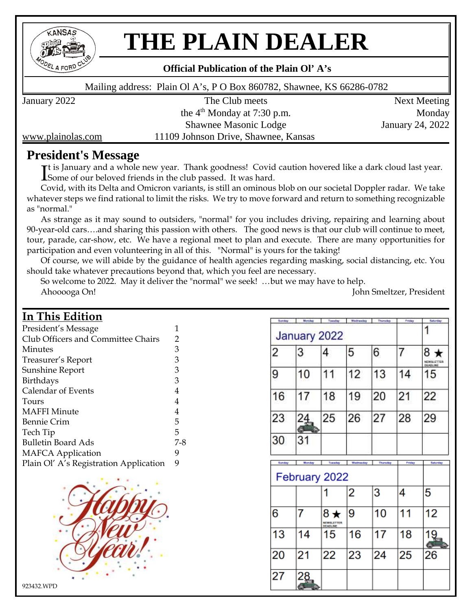

# **THE PLAIN DEALER**

#### **Official Publication of the Plain Ol' A's**

Mailing address: Plain Ol A's, P O Box 860782, Shawnee, KS 66286-0782

January 2022 The Club meets Next Meeting the  $4<sup>th</sup>$  Monday at 7:30 p.m. Monday Shawnee Masonic Lodge January 24, 2022

www.plainolas.com 11109 Johnson Drive, Shawnee, Kansas

# **President's Message**

It is January and a whole new year. Thank goodness! Covid caution hovered like a dark cloud last year.<br>I Some of our beloved friends in the club passed. It was hard. Some of our beloved friends in the club passed. It was hard.

Covid, with its Delta and Omicron variants, is still an ominous blob on our societal Doppler radar. We take whatever steps we find rational to limit the risks. We try to move forward and return to something recognizable as "normal."

As strange as it may sound to outsiders, "normal" for you includes driving, repairing and learning about 90-year-old cars….and sharing this passion with others. The good news is that our club will continue to meet, tour, parade, car-show, etc. We have a regional meet to plan and execute. There are many opportunities for participation and even volunteering in all of this. "Normal" is yours for the taking!

Of course, we will abide by the guidance of health agencies regarding masking, social distancing, etc. You should take whatever precautions beyond that, which you feel are necessary.

So welcome to 2022. May it deliver the "normal" we seek! …but we may have to help. Ahooooga On! John Smeltzer, President

# **In This Edition**

| President's Message                    | 1   |
|----------------------------------------|-----|
| Club Officers and Committee Chairs     | 2   |
| Minutes                                | 3   |
| Treasurer's Report                     | 3   |
| Sunshine Report                        | 3   |
| Birthdays                              | 3   |
| Calendar of Events                     | 4   |
| Tours                                  | 4   |
| <b>MAFFI</b> Minute                    | 4   |
| <b>Bennie Crim</b>                     | 5   |
| Tech Tip                               | 5   |
| Bulletin Board Ads                     | 7-8 |
| <b>MAFCA Application</b>               | 9   |
| Plain Ol' A's Registration Application | 9   |



| Sunday | Monday | Tuesday                               | Wednesday | Thursday | Pader  | Seturday                   |
|--------|--------|---------------------------------------|-----------|----------|--------|----------------------------|
|        |        | January 2022                          |           |          |        |                            |
| 2      | 3      | 4                                     | 5         | 6        | 7      | 8<br>EWSLETTER<br>DEADLINE |
| 9      | 10     | 11                                    | 12        | 13       | 14     | 15                         |
| 16     | 17     | 18                                    | 19        | 20       | 21     | 22                         |
| 23     | 24     | 25                                    | 26        | 27       | 28     | 29                         |
| 30     | 31     |                                       |           |          |        |                            |
| Sunday | Monday | Tuesday                               | Wednesday | Thursday | Priday | Setunday                   |
|        |        | February 2022                         |           |          |        |                            |
|        |        |                                       | 2         | 3        | 4      | 5                          |
| 6      | 7      | $8*$<br>NEWSLETTER<br><b>DEADLINE</b> | 9         | 10       | 11     | 12                         |
| 13     | 14     | 15                                    | 16        | 17       | 18     | $\overline{19}$            |
| 20     | 21     | 22                                    | 23        | 24       | 25     | 26                         |
| 27     | 28     |                                       |           |          |        |                            |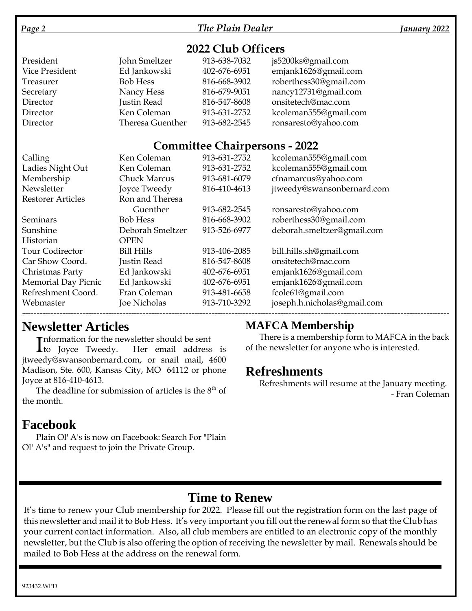### *Page 2 The Plain Dealer January 2022*

# **2022 Club Officers**

| President      | John Smeltzer    | 913-638-7032 | js5200ks@gmail.com     |
|----------------|------------------|--------------|------------------------|
| Vice President | Ed Jankowski     | 402-676-6951 | emjank1626@gmail.com   |
| Treasurer      | <b>Bob Hess</b>  | 816-668-3902 | roberthess30@gmail.com |
| Secretary      | Nancy Hess       | 816-679-9051 | nancy12731@gmail.com   |
| Director       | Justin Read      | 816-547-8608 | onsitetech@mac.com     |
| Director       | Ken Coleman      | 913-631-2752 | kcoleman555@gmail.com  |
| Director       | Theresa Guenther | 913-682-2545 | ronsaresto@yahoo.com   |

## **Committee Chairpersons - 2022**

| Calling                    | Ken Coleman         | 913-631-2752 | kcoleman555@gmail.com       |
|----------------------------|---------------------|--------------|-----------------------------|
| Ladies Night Out           | Ken Coleman         | 913-631-2752 | kcoleman555@gmail.com       |
| Membership                 | <b>Chuck Marcus</b> | 913-681-6079 | cfnamarcus@yahoo.com        |
| Newsletter                 | Joyce Tweedy        | 816-410-4613 | jtweedy@swansonbernard.com  |
| <b>Restorer Articles</b>   | Ron and Theresa     |              |                             |
|                            | Guenther            | 913-682-2545 | ronsaresto@yahoo.com        |
| Seminars                   | <b>Bob Hess</b>     | 816-668-3902 | roberthess30@gmail.com      |
| Sunshine                   | Deborah Smeltzer    | 913-526-6977 | deborah.smeltzer@gmail.com  |
| Historian                  | <b>OPEN</b>         |              |                             |
| <b>Tour Codirector</b>     | <b>Bill Hills</b>   | 913-406-2085 | bill.hills.sh@gmail.com     |
| Car Show Coord.            | Justin Read         | 816-547-8608 | onsitetech@mac.com          |
| Christmas Party            | Ed Jankowski        | 402-676-6951 | emjank1626@gmail.com        |
| <b>Memorial Day Picnic</b> | Ed Jankowski        | 402-676-6951 | emjank1626@gmail.com        |
| Refreshment Coord.         | Fran Coleman        | 913-481-6658 | fcole61@gmail.com           |
| Webmaster                  | <b>Joe Nicholas</b> | 913-710-3292 | joseph.h.nicholas@gmail.com |
|                            |                     |              |                             |

# **Newsletter Articles**

**Theormation for the newsletter should be sent** 

Information for the newsletter should be sent<br>
to Joyce Tweedy. Her email address is jtweedy@swansonbernard.com, or snail mail, 4600 Madison, Ste. 600, Kansas City, MO 64112 or phone Joyce at 816-410-4613.

The deadline for submission of articles is the  $8<sup>th</sup>$  of the month.

# **Facebook**

Plain Ol' A's is now on Facebook: Search For "Plain Ol' A's" and request to join the Private Group.

# **MAFCA Membership**

There is a membership form to MAFCA in the back of the newsletter for anyone who is interested.

# **Refreshments**

Refreshments will resume at the January meeting. - Fran Coleman

# **Time to Renew**

It's time to renew your Club membership for 2022. Please fill out the registration form on the last page of this newsletter and mail it to Bob Hess. It's very important you fill out the renewal form so that the Club has your current contact information. Also, all club members are entitled to an electronic copy of the monthly newsletter, but the Club is also offering the option of receiving the newsletter by mail. Renewals should be mailed to Bob Hess at the address on the renewal form.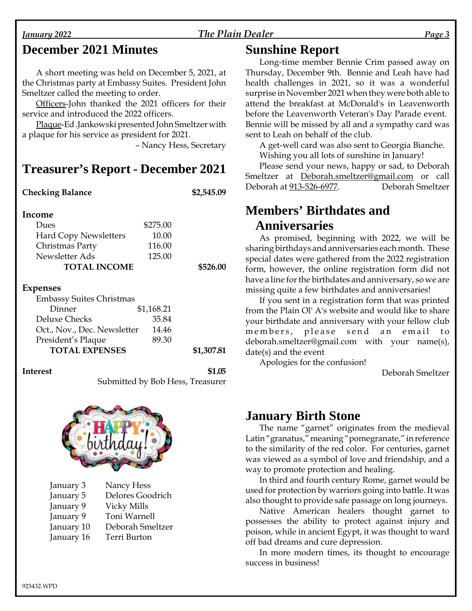#### *January 2022 The Plain Dealer Page 3*

# **December 2021 Minutes**

A short meeting was held on December 5, 2021, at the Christmas party at Embassy Suites. President John Smeltzer called the meeting to order.

Officers-John thanked the 2021 officers for their service and introduced the 2022 officers.

Plaque-Ed .Jankowski presented John Smeltzer with a plaque for his service as president for 2021.

– Nancy Hess, Secretary

# **Treasurer's Report - December 2021**

# **Checking Balance \$2,545.09 Income** Dues \$275.00 Hard Copy Newsletters 10.00 Christmas Party 116.00 Newsletter Ads 125.00 **TOTAL INCOME \$526.00**

#### **Expenses**

| <b>Embassy Suites Christmas</b> |            |            |
|---------------------------------|------------|------------|
| Dinner                          | \$1,168.21 |            |
| Deluxe Checks                   | 35.84      |            |
| Oct., Nov., Dec. Newsletter     | 14.46      |            |
| President's Plaque              | 89.30      |            |
| <b>TOTAL EXPENSES</b>           |            | \$1,307.81 |

#### **Interest \$1.05**

Submitted by Bob Hess, Treasurer



| January 3  | Nancy Hess         |
|------------|--------------------|
| January 5  | Delores Goodrich   |
| January 9  | <b>Vicky Mills</b> |
| January 9  | Toni Warnell       |
| January 10 | Deborah Smeltzer   |
| January 16 | Terri Burton       |
|            |                    |

## **Sunshine Report**

Long-time member Bennie Crim passed away on Thursday, December 9th. Bennie and Leah have had health challenges in 2021, so it was a wonderful surprise in November 2021 when they were both able to attend the breakfast at McDonald's in Leavenworth before the Leavenworth Veteran's Day Parade event. Bennie will be missed by all and a sympathy card was sent to Leah on behalf of the club.

A get-well card was also sent to Georgia Bianche. Wishing you all lots of sunshine in January!

Please send your news, happy or sad, to Deborah Smeltzer at Deborah.smeltzer@gmail.com or call Deborah at 913-526-6977. Deborah Smeltzer

# **Members' Birthdates and Anniversaries**

As promised, beginning with 2022, we will be sharing birthdays and anniversaries each month. These special dates were gathered from the 2022 registration form, however, the online registration form did not have a line for the birthdates and anniversary, so we are missing quite a few birthdates and anniversaries!

If you sent in a registration form that was printed from the Plain Ol' A's website and would like to share your birthdate and anniversary with your fellow club members, please send an email to deborah.smeltzer@gmail.com with your name(s), date(s) and the event

Apologies for the confusion!

Deborah Smeltzer

# **January Birth Stone**

The name "garnet" originates from the medieval Latin "granatus," meaning "pomegranate," in reference to the similarity of the red color. For centuries, garnet was viewed as a symbol of love and friendship, and a way to promote protection and healing.

In third and fourth century Rome, garnet would be used for protection by warriors going into battle. It was also thought to provide safe passage on long journeys.

Native American healers thought garnet to possesses the ability to protect against injury and poison, while in ancient Egypt, it was thought to ward off bad dreams and cure depression.

In more modern times, its thought to encourage success in business!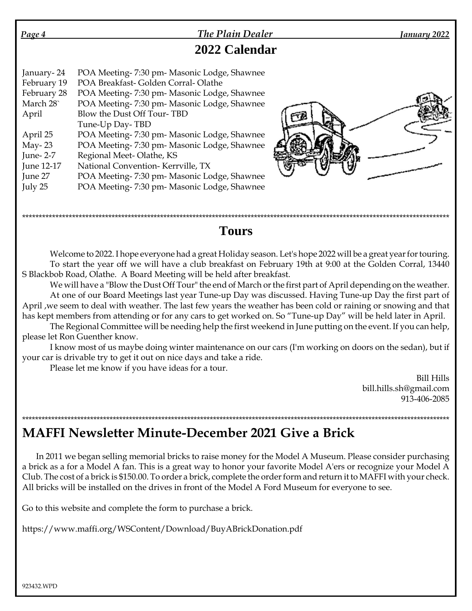| Page 4                                                                | <b>The Plain Dealer</b>                                                                                                                                                                                                                                   | January 2022 |
|-----------------------------------------------------------------------|-----------------------------------------------------------------------------------------------------------------------------------------------------------------------------------------------------------------------------------------------------------|--------------|
|                                                                       | 2022 Calendar                                                                                                                                                                                                                                             |              |
| January-24<br>February 19<br>February 28<br>March 28<br>April         | POA Meeting-7:30 pm- Masonic Lodge, Shawnee<br>POA Breakfast-Golden Corral-Olathe<br>POA Meeting-7:30 pm- Masonic Lodge, Shawnee<br>POA Meeting-7:30 pm- Masonic Lodge, Shawnee<br>Blow the Dust Off Tour-TBD<br>Tune-Up Day-TBD                          |              |
| April 25<br>May- $23$<br>June-2-7<br>June 12-17<br>June 27<br>July 25 | POA Meeting-7:30 pm- Masonic Lodge, Shawnee<br>POA Meeting-7:30 pm- Masonic Lodge, Shawnee<br>Regional Meet-Olathe, KS<br>National Convention-Kerrville, TX<br>POA Meeting-7:30 pm- Masonic Lodge, Shawnee<br>POA Meeting-7:30 pm- Masonic Lodge, Shawnee |              |

## \*\*\*\*\*\*\*\*\*\*\*\*\*\*\*\*\*\*\*\*\*\*\*\*\*\*\*\*\*\*\*\*\*\*\*\*\*\*\*\*\*\*\*\*\*\*\*\*\*\*\*\*\*\*\*\*\*\*\*\*\*\*\*\*\*\*\*\*\*\*\*\*\*\*\*\*\*\*\*\*\*\*\*\*\*\*\*\*\*\*\*\*\*\*\*\*\*\*\*\*\*\*\*\*\*\*\*\*\*\*\*\*\*\*\*\*\*\*\*\*\*\*\*\*\*\*\*\*\*\* **Tours**

Welcome to 2022. I hope everyone had a great Holiday season. Let's hope 2022 will be a great year for touring. To start the year off we will have a club breakfast on February 19th at 9:00 at the Golden Corral, 13440 S Blackbob Road, Olathe. A Board Meeting will be held after breakfast.

We will have a "Blow the Dust Off Tour" the end of March or the first part of April depending on the weather. At one of our Board Meetings last year Tune-up Day was discussed. Having Tune-up Day the first part of April ,we seem to deal with weather. The last few years the weather has been cold or raining or snowing and that has kept members from attending or for any cars to get worked on. So "Tune-up Day" will be held later in April.

The Regional Committee will be needing help the first weekend in June putting on the event. If you can help, please let Ron Guenther know.

I know most of us maybe doing winter maintenance on our cars (I'm working on doors on the sedan), but if your car is drivable try to get it out on nice days and take a ride.

Please let me know if you have ideas for a tour.

Bill Hills bill.hills.sh@gmail.com 913-406-2085

## \*\*\*\*\*\*\*\*\*\*\*\*\*\*\*\*\*\*\*\*\*\*\*\*\*\*\*\*\*\*\*\*\*\*\*\*\*\*\*\*\*\*\*\*\*\*\*\*\*\*\*\*\*\*\*\*\*\*\*\*\*\*\*\*\*\*\*\*\*\*\*\*\*\*\*\*\*\*\*\*\*\*\*\*\*\*\*\*\*\*\*\*\*\*\*\*\*\*\*\*\*\*\*\*\*\*\*\*\*\*\*\*\*\*\*\*\*\*\*\*\*\*\*\*\*\*\*\*\*\*\*\* **MAFFI Newsletter Minute-December 2021 Give a Brick**

In 2011 we began selling memorial bricks to raise money for the Model A Museum. Please consider purchasing a brick as a for a Model A fan. This is a great way to honor your favorite Model A'ers or recognize your Model A Club. The cost of a brick is \$150.00. To order a brick, complete the order form and return it to MAFFI with your check. All bricks will be installed on the drives in front of the Model A Ford Museum for everyone to see.

Go to this website and complete the form to purchase a brick.

https://www.maffi.org/WSContent/Download/BuyABrickDonation.pdf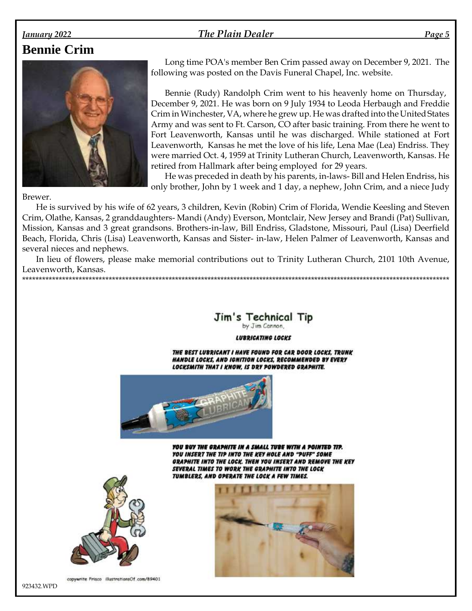#### The Plain Dealer

# **Bennie Crim**

January 2022



Long time POA's member Ben Crim passed away on December 9, 2021. The following was posted on the Davis Funeral Chapel, Inc. website.

Page 5

Bennie (Rudy) Randolph Crim went to his heavenly home on Thursday, December 9, 2021. He was born on 9 July 1934 to Leoda Herbaugh and Freddie Crim in Winchester, VA, where he grew up. He was drafted into the United States Army and was sent to Ft. Carson, CO after basic training. From there he went to Fort Leavenworth, Kansas until he was discharged. While stationed at Fort Leavenworth, Kansas he met the love of his life, Lena Mae (Lea) Endriss. They were married Oct. 4, 1959 at Trinity Lutheran Church, Leavenworth, Kansas. He retired from Hallmark after being employed for 29 years.

He was preceded in death by his parents, in-laws- Bill and Helen Endriss, his only brother, John by 1 week and 1 day, a nephew, John Crim, and a niece Judy

#### Brewer.

He is survived by his wife of 62 years, 3 children, Kevin (Robin) Crim of Florida, Wendie Keesling and Steven Crim, Olathe, Kansas, 2 granddaughters- Mandi (Andy) Everson, Montclair, New Jersey and Brandi (Pat) Sullivan, Mission, Kansas and 3 great grandsons. Brothers-in-law, Bill Endriss, Gladstone, Missouri, Paul (Lisa) Deerfield Beach, Florida, Chris (Lisa) Leavenworth, Kansas and Sister- in-law, Helen Palmer of Leavenworth, Kansas and several nieces and nephews.

In lieu of flowers, please make memorial contributions out to Trinity Lutheran Church, 2101 10th Avenue, Leavenworth, Kansas. 



**LUBRICATING LOCKS** 

THE BEST LUBRICANT I HAVE FOUND FOR CAR DOOR LOCKS, TRUNK HANDLE LOCKS, AND IGNITION LOCKS, RECOMMENDED BY EVERY LOCKSMITH THAT I KNOW, IS DRY POWDERED GRAPHITE.



YOU BUY THE GRAPHITE IN A SMALL TUBE WITH A POINTED TIP. YOU INSERT THE TIP INTO THE KEY HOLE AND "PUFF" SOME GRAPHITE INTO THE LOCK. THEN YOU INSERT AND REMOVE THE KEY SEVERAL TIMES TO WORK THE GRAPHITE INTO THE LOCK TUMBLERS, AND OPERATE THE LOCK A FEW TIMES.



copywrite Frisco illustrationsOf.com/89401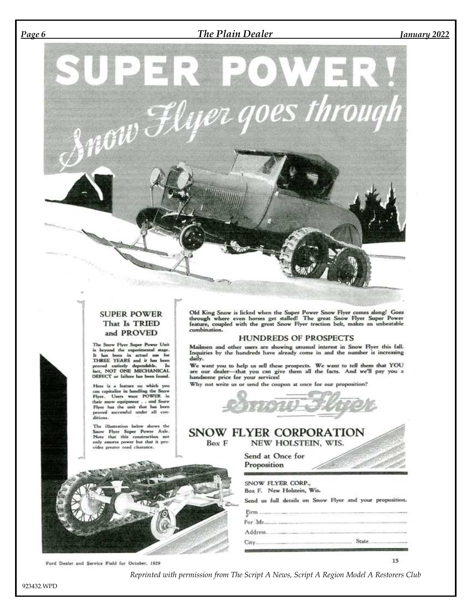#### *Page 6 The Plain Dealer January 2022*



#### **SUPER POWER** That Is TRIED and PROVED

The Snow Flyer Soper Power Unit in Sonor river superimental stage.<br>It has been in actual use for THREE YEARS and it has been<br>proved entirely dependable. In<br>fact, NOT ONE MECHANICAL DEFECT or failure has been found.

Here is a feature on which you can capitalize in handling the Snow<br>Flyer. Users want POWER in<br>their snow equipment . and Snow<br>Flyer bas the unit that has been<br>proved successful under all con-<br>proved successful under all c ditions.

The illustration below shows the Snow Flyer Super Power Axle.<br>Note that this construction not only assures power but that it provides greater road clearance.

Old King Snow is licked when the Super Power Snow Flyer comes along! Goes through where even horses get stalled! The great Snow Flyer Super Power feature, coupled with the great Snow Flyer traction belt, makes an unbeatabl combination.

#### **HUNDREDS OF PROSPECTS**

Mailmen and other users are showing unusual interest in Snow Flyer this fall.<br>Inquiries by the hundreds have already come in and the number is increasing daily.

We want you to help us sell these prospects. We want to tell them that YOU are our dealer—that you can give them all the facts. And we'll pay you a handsome price for your services!

Why not write us or send the coupon at once for our proposition?



Send us full details on Snow Flyer and your proposition.

 $15$ 

### SNOW FLYER CORPORATION

SNOW FLYER CORP., Box F. New Holstein, Wis.

Box F NEW HOLSTEIN, WIS.

> Send at Once for Proposition

 $Firm$ ....



Ford Dealer and Service Field for October, 1929

*Reprinted with permission from The Script A News, Script A Region Model A Restorers Club*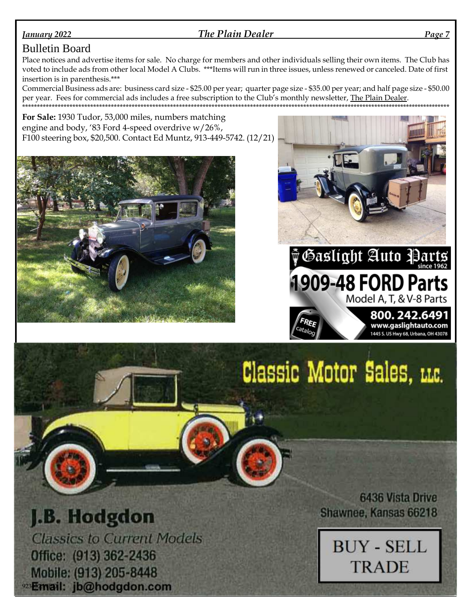#### **January 2022**

The Plain Dealer

Page 7

#### **Bulletin Board**

Place notices and advertise items for sale. No charge for members and other individuals selling their own items. The Club has voted to include ads from other local Model A Clubs. \*\*\*Items will run in three issues, unless renewed or canceled. Date of first insertion is in parenthesis.\*\*\*

Commercial Business ads are: business card size - \$25.00 per year; quarter page size - \$35.00 per year; and half page size - \$50.00 per year. Fees for commercial ads includes a free subscription to the Club's monthly newsletter, The Plain Dealer. 

For Sale: 1930 Tudor, 53,000 miles, numbers matching engine and body, '83 Ford 4-speed overdrive w/26%, F100 steering box, \$20,500. Contact Ed Muntz, 913-449-5742. (12/21)





1909-48 FORD Parts

Model A, T, & V-8 Parts

800.242.6491 WWW.gaslightauto.com<br>1445 S. US Hwy 68, Urbana, OH 43078

# Classic Motor Sales, LLC.

ata L

# J.B. Hodgdon

**Classics to Current Models** Office: (913) 362-2436 Mobile: (913) 205-8448 923 Earwail: jb@hodgdon.com

**6436 Vista Drive** Shawnee, Kansas 66218

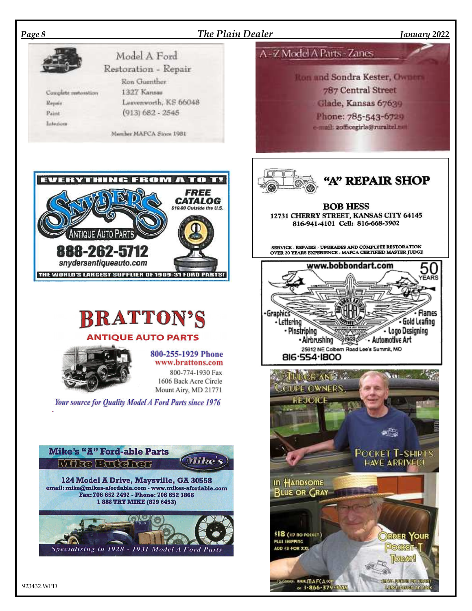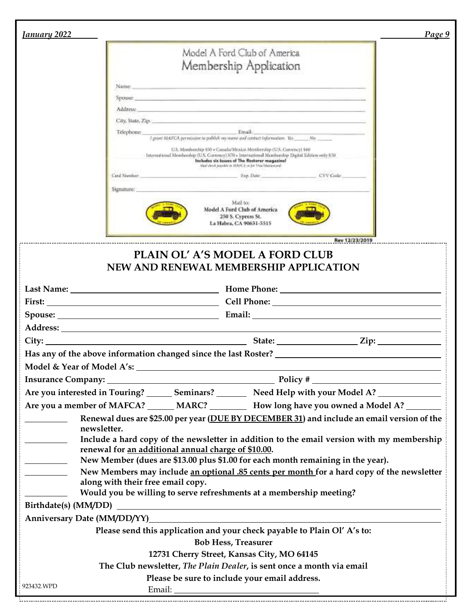| <u>Ianuary 2022</u>                                 | Page 9                                                                                                                                                                                                                         |
|-----------------------------------------------------|--------------------------------------------------------------------------------------------------------------------------------------------------------------------------------------------------------------------------------|
|                                                     | Model A Ford Club of America                                                                                                                                                                                                   |
|                                                     |                                                                                                                                                                                                                                |
|                                                     | Membership Application                                                                                                                                                                                                         |
| Name:                                               | <u> 1989 - Andrea Andrea, Amerikaansk politiker (d. 1989)</u>                                                                                                                                                                  |
|                                                     | <b><u>Spoase</u></b>                                                                                                                                                                                                           |
|                                                     | Address: The Contract of the Contract of the Contract of the Contract of the Contract of the Contract of the Contract of the Contract of the Contract of the Contract of the Contract of the Contract of the Contract of the C |
|                                                     |                                                                                                                                                                                                                                |
| Telephone:                                          | Email: The Commission of the Commission of the Commission of the Commission of the Commission of the Commission<br>I grant MAFCA permission to publish my manni and contract information. Yes _______No. ______________        |
|                                                     | U.S. Membership 850 + Canada/Mexico Membership (U.S. Currency) 560<br>International Membership (U.S. Cornency) 870 - International Membership Digital Edition only \$50<br>Includes six issues of The Restorer magazine!       |
| Card Number                                         | Men'rlook pasiddy at MANC1 or for Hun Masseyseed<br>Eve Date<br>CVV Code                                                                                                                                                       |
| Signature:                                          |                                                                                                                                                                                                                                |
|                                                     | Mail to:<br>Model A Ford Club of America<br>250 S. Cypress St.<br>La Habra, CA 90631-5515                                                                                                                                      |
|                                                     | Rev 12/23/2019                                                                                                                                                                                                                 |
|                                                     | PLAIN OL' A'S MODEL A FORD CLUB<br>NEW AND RENEWAL MEMBERSHIP APPLICATION                                                                                                                                                      |
|                                                     |                                                                                                                                                                                                                                |
|                                                     |                                                                                                                                                                                                                                |
|                                                     |                                                                                                                                                                                                                                |
|                                                     |                                                                                                                                                                                                                                |
|                                                     |                                                                                                                                                                                                                                |
|                                                     |                                                                                                                                                                                                                                |
|                                                     |                                                                                                                                                                                                                                |
|                                                     | Are you interested in Touring? _______ Seminars? _________ Need Help with your Model A? ____________                                                                                                                           |
|                                                     | Are you a member of MAFCA? ______ MARC? __________ How long have you owned a Model A? ________                                                                                                                                 |
|                                                     | Renewal dues are \$25.00 per year (DUE BY DECEMBER 31) and include an email version of the                                                                                                                                     |
| newsletter.                                         |                                                                                                                                                                                                                                |
| $\overline{\phantom{a}}$                            | Include a hard copy of the newsletter in addition to the email version with my membership                                                                                                                                      |
| renewal for an additional annual charge of \$10.00. |                                                                                                                                                                                                                                |
|                                                     | New Member (dues are \$13.00 plus \$1.00 for each month remaining in the year).                                                                                                                                                |
| along with their free email copy.                   | New Members may include an optional .85 cents per month for a hard copy of the newsletter                                                                                                                                      |
|                                                     | Would you be willing to serve refreshments at a membership meeting?                                                                                                                                                            |
|                                                     |                                                                                                                                                                                                                                |
|                                                     | Anniversary Date (MM/DD/YY) Management of the contract of the contract of the contract of the contract of the contract of the contract of the contract of the contract of the contract of the contract of the contract of the  |
|                                                     | Please send this application and your check payable to Plain Ol' A's to:                                                                                                                                                       |
|                                                     | <b>Bob Hess, Treasurer</b>                                                                                                                                                                                                     |
|                                                     | 12731 Cherry Street, Kansas City, MO 64145                                                                                                                                                                                     |
|                                                     | The Club newsletter, The Plain Dealer, is sent once a month via email                                                                                                                                                          |
| 923432.WPD                                          | Please be sure to include your email address.                                                                                                                                                                                  |
|                                                     |                                                                                                                                                                                                                                |